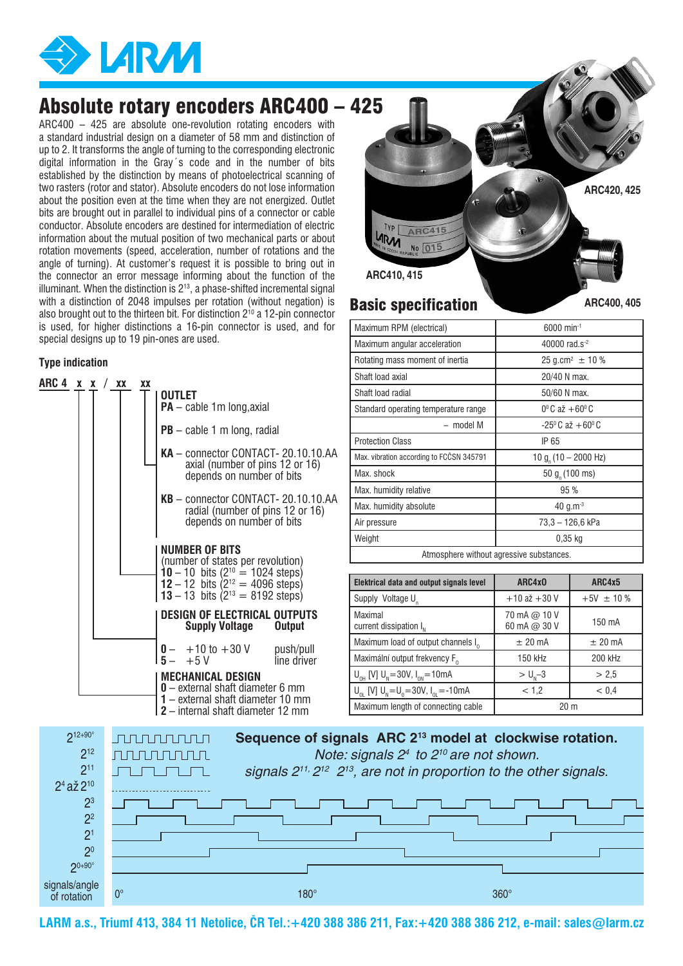

## Absolute rotary encoders ARC400 – 425

ARC400 – 425 are absolute one-revolution rotating encoders with a standard industrial design on a diameter of 58 mm and distinction of up to 2. It transforms the angle of turning to the corresponding electronic digital information in the Gray´s code and in the number of bits established by the distinction by means of photoelectrical scanning of two rasters (rotor and stator). Absolute encoders do not lose information about the position even at the time when they are not energized. Outlet bits are brought out in parallel to individual pins of a connector or cable conductor. Absolute encoders are destined for intermediation of electric information about the mutual position of two mechanical parts or about rotation movements (speed, acceleration, number of rotations and the angle of turning). At customer's request it is possible to bring out in the connector an error message informing about the function of the illuminant. When the distinction is  $2^{13}$ , a phase-shifted incremental signal with a distinction of 2048 impulses per rotation (without negation) is also brought out to the thirteen bit. For distinction  $2^{10}$  a 12-pin connector is used, for higher distinctions a 16-pin connector is used, and for special designs up to 19 pin-ones are used.

### **Type indication**

| $PB - cable 1 m long, radial$<br>KA - connector CONTACT-20.10.10.AA<br>axial (number of pins 12 or 16)<br>depends on number of bits<br>KB - connector CONTACT-20.10.10.AA<br>radial (number of pins 12 or 16)<br>depends on number of bits<br><b>NUMBER OF BITS</b><br>(number of states per revolution)<br><b>10</b> - 10 bits ( $2^{10}$ = 1024 steps)<br><b>12</b> - 12 bits ( $2^{12}$ = 4096 steps)<br>13 – 13 bits $(2^{13} = 8192 \text{ steps})$<br><b>DESIGN OF ELECTRICAL OUTPUTS</b><br>Supply Voltage<br><b>Output</b><br>$0 - +10$ to $+30$ V<br>push/pull<br>$+5V$<br>line driver<br><b>MECHANICAL DESIGN</b><br>0 - external shaft diameter 6 mm<br>1 – external shaft diameter 10 mm<br>2 - internal shaft diameter 12 mm | ARC 4 x x |  | XX | XX | OUTLET<br>$PA - cable 1m long, axial$ |  |  |  |
|-------------------------------------------------------------------------------------------------------------------------------------------------------------------------------------------------------------------------------------------------------------------------------------------------------------------------------------------------------------------------------------------------------------------------------------------------------------------------------------------------------------------------------------------------------------------------------------------------------------------------------------------------------------------------------------------------------------------------------------------|-----------|--|----|----|---------------------------------------|--|--|--|
|                                                                                                                                                                                                                                                                                                                                                                                                                                                                                                                                                                                                                                                                                                                                           |           |  |    |    |                                       |  |  |  |
|                                                                                                                                                                                                                                                                                                                                                                                                                                                                                                                                                                                                                                                                                                                                           |           |  |    |    |                                       |  |  |  |
|                                                                                                                                                                                                                                                                                                                                                                                                                                                                                                                                                                                                                                                                                                                                           |           |  |    |    |                                       |  |  |  |
|                                                                                                                                                                                                                                                                                                                                                                                                                                                                                                                                                                                                                                                                                                                                           |           |  |    |    |                                       |  |  |  |
|                                                                                                                                                                                                                                                                                                                                                                                                                                                                                                                                                                                                                                                                                                                                           |           |  |    |    |                                       |  |  |  |
|                                                                                                                                                                                                                                                                                                                                                                                                                                                                                                                                                                                                                                                                                                                                           |           |  |    |    |                                       |  |  |  |
|                                                                                                                                                                                                                                                                                                                                                                                                                                                                                                                                                                                                                                                                                                                                           |           |  |    |    |                                       |  |  |  |
|                                                                                                                                                                                                                                                                                                                                                                                                                                                                                                                                                                                                                                                                                                                                           |           |  |    |    |                                       |  |  |  |



| Maximum RPM (electrical)                 | $6000$ min <sup>-1</sup>            |  |  |  |  |
|------------------------------------------|-------------------------------------|--|--|--|--|
| Maximum angular acceleration             | 40000 rad.s <sup>-2</sup>           |  |  |  |  |
| Rotating mass moment of inertia          | $25$ g.cm <sup>2</sup> $\pm$ 10 %   |  |  |  |  |
| Shaft load axial                         | 20/40 N max.                        |  |  |  |  |
| Shaft load radial                        | 50/60 N max.                        |  |  |  |  |
| Standard operating temperature range     | $0^{\circ}$ C až +60 $^{\circ}$ C   |  |  |  |  |
| – model M                                | $-25^{\circ}$ C až +60 $^{\circ}$ C |  |  |  |  |
| <b>Protection Class</b>                  | IP 65                               |  |  |  |  |
| Max. vibration according to FCCSN 345791 | 10 g <sub>n</sub> (10 – 2000 Hz)    |  |  |  |  |
| Max. shock                               | 50 $gn$ (100 ms)                    |  |  |  |  |
| Max. humidity relative                   | 95 %                                |  |  |  |  |
| Max. humidity absolute                   | 40 $q.m^{-3}$                       |  |  |  |  |
| Air pressure                             | 73,3 - 126,6 kPa                    |  |  |  |  |
| Weight                                   | $0.35$ kg                           |  |  |  |  |
| Atmosphere without agressive substances. |                                     |  |  |  |  |

| Elektrical data and output signals level              | ARC4x0                       | ARC4x5         |  |
|-------------------------------------------------------|------------------------------|----------------|--|
| Supply Voltage U <sub>n</sub>                         | $+10$ až $+30$ V             | $+5V \pm 10\%$ |  |
| Maximal<br>current dissipation $I_{N}$                | 70 mA @ 10 V<br>60 mA @ 30 V | 150 mA         |  |
| Maximum load of output channels I <sub>0</sub>        | $±$ 20 mA                    | $±$ 20 mA      |  |
| Maximální output frekvency F <sub>o</sub>             | 150 kHz                      | 200 kHz        |  |
| $U_{nH}$ [V] $U_{N} = 30V$ , $I_{0N} = 10$ mA         | $> Un - 3$                   | > 2.5          |  |
| $U_{01}$ [V] $U_{N} = U_{0} = 30V$ , $I_{01} = -10mA$ | < 1.2                        | < 0.4          |  |
| Maximum length of connecting cable                    | 20 <sub>m</sub>              |                |  |



**LARM a.s., Triumf 413, 384 11 Netolice, ČR Tel.:+420 388 386 211, Fax:+420 388 386 212, e-mail: sales@larm.cz**